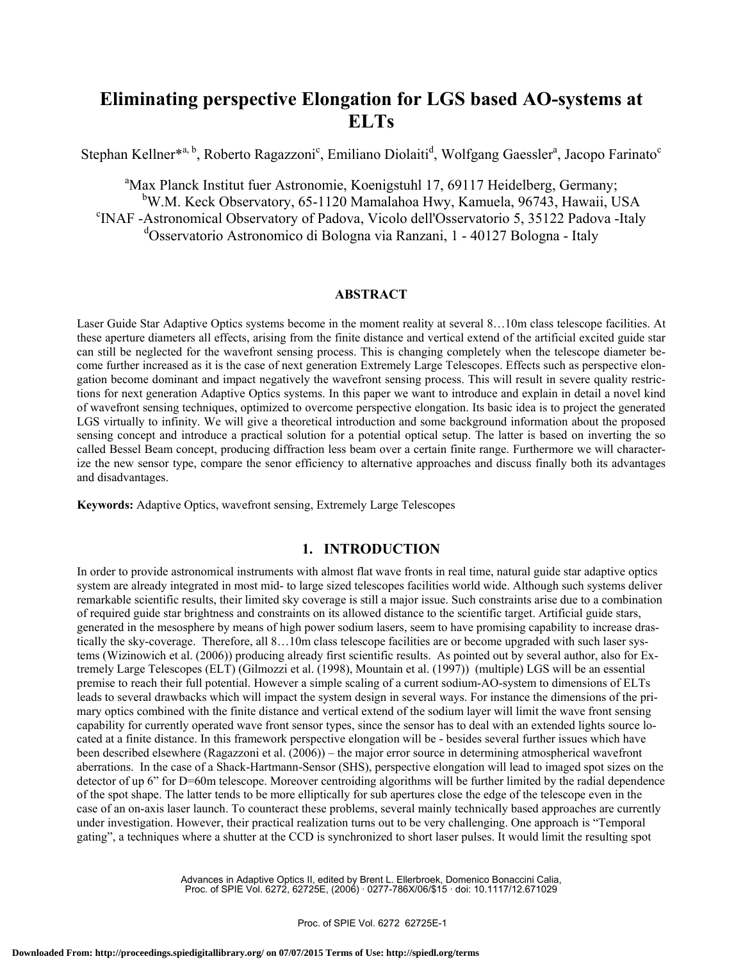# **Eliminating perspective Elongation for LGS based AO-systems at ELTs**

Stephan Kellner<sup>\*a, b</sup>, Roberto Ragazzoni<sup>c</sup>, Emiliano Diolaiti<sup>d</sup>, Wolfgang Gaessler<sup>a</sup>, Jacopo Farinato<sup>c</sup>

<sup>a</sup>Max Planck Institut fuer Astronomie, Koenigstuhl 17, 69117 Heidelberg, Germany; <sup>b</sup>W.M. Keck Observatory, 65-1120 Mamalahoa Hwy, Kamuela, 96743, Hawaii, USA <sup>c</sup>INAF -Astronomical Observatory of Padova, Vicolo dell'Osservatorio 5, 35122 Padova -Italy d Osservatorio Astronomico di Bologna via Ranzani, 1 - 40127 Bologna - Italy

### **ABSTRACT**

Laser Guide Star Adaptive Optics systems become in the moment reality at several 8…10m class telescope facilities. At these aperture diameters all effects, arising from the finite distance and vertical extend of the artificial excited guide star can still be neglected for the wavefront sensing process. This is changing completely when the telescope diameter become further increased as it is the case of next generation Extremely Large Telescopes. Effects such as perspective elongation become dominant and impact negatively the wavefront sensing process. This will result in severe quality restrictions for next generation Adaptive Optics systems. In this paper we want to introduce and explain in detail a novel kind of wavefront sensing techniques, optimized to overcome perspective elongation. Its basic idea is to project the generated LGS virtually to infinity. We will give a theoretical introduction and some background information about the proposed sensing concept and introduce a practical solution for a potential optical setup. The latter is based on inverting the so called Bessel Beam concept, producing diffraction less beam over a certain finite range. Furthermore we will characterize the new sensor type, compare the senor efficiency to alternative approaches and discuss finally both its advantages and disadvantages.

**Keywords:** Adaptive Optics, wavefront sensing, Extremely Large Telescopes

# **1. INTRODUCTION**

In order to provide astronomical instruments with almost flat wave fronts in real time, natural guide star adaptive optics system are already integrated in most mid- to large sized telescopes facilities world wide. Although such systems deliver remarkable scientific results, their limited sky coverage is still a major issue. Such constraints arise due to a combination of required guide star brightness and constraints on its allowed distance to the scientific target. Artificial guide stars, generated in the mesosphere by means of high power sodium lasers, seem to have promising capability to increase drastically the sky-coverage. Therefore, all 8…10m class telescope facilities are or become upgraded with such laser systems (Wizinowich et al. (2006)) producing already first scientific results. As pointed out by several author, also for Extremely Large Telescopes (ELT) (Gilmozzi et al. (1998), Mountain et al. (1997)) (multiple) LGS will be an essential premise to reach their full potential. However a simple scaling of a current sodium-AO-system to dimensions of ELTs leads to several drawbacks which will impact the system design in several ways. For instance the dimensions of the primary optics combined with the finite distance and vertical extend of the sodium layer will limit the wave front sensing capability for currently operated wave front sensor types, since the sensor has to deal with an extended lights source located at a finite distance. In this framework perspective elongation will be - besides several further issues which have been described elsewhere (Ragazzoni et al. (2006)) – the major error source in determining atmospherical wavefront aberrations. In the case of a Shack-Hartmann-Sensor (SHS), perspective elongation will lead to imaged spot sizes on the detector of up 6" for D=60m telescope. Moreover centroiding algorithms will be further limited by the radial dependence of the spot shape. The latter tends to be more elliptically for sub apertures close the edge of the telescope even in the case of an on-axis laser launch. To counteract these problems, several mainly technically based approaches are currently under investigation. However, their practical realization turns out to be very challenging. One approach is "Temporal gating", a techniques where a shutter at the CCD is synchronized to short laser pulses. It would limit the resulting spot

> Advances in Adaptive Optics II, edited by Brent L. Ellerbroek, Domenico Bonaccini Calia, Proc. of SPIE Vol. 6272, 62725E, (2006) · 0277-786X/06/\$15 · doi: 10.1117/12.671029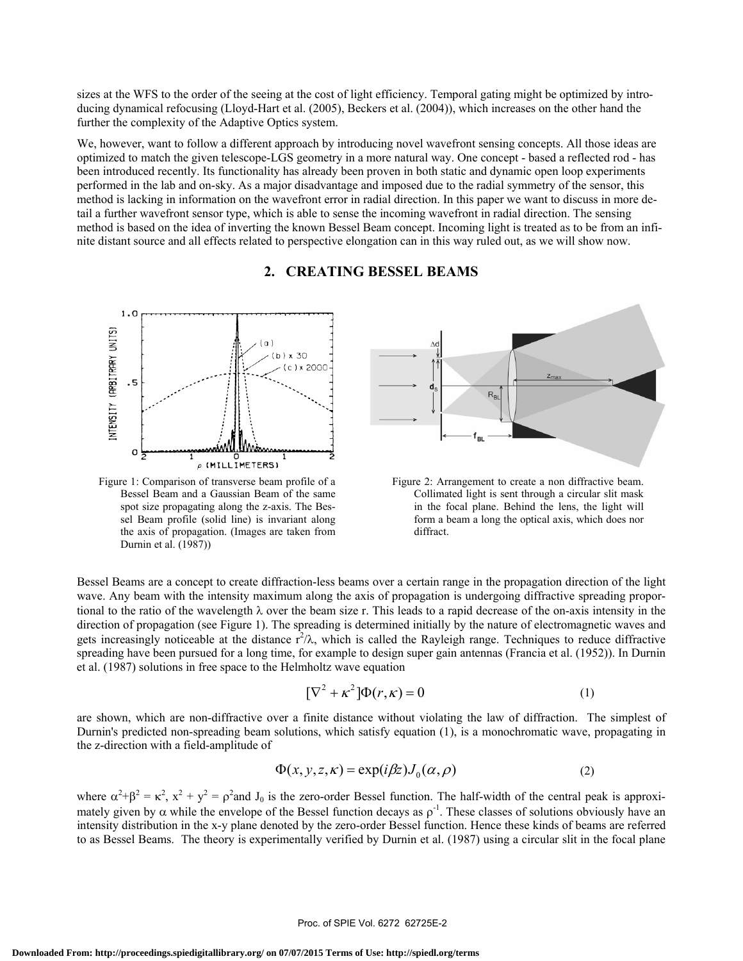sizes at the WFS to the order of the seeing at the cost of light efficiency. Temporal gating might be optimized by introducing dynamical refocusing (Lloyd-Hart et al. (2005), Beckers et al. (2004)), which increases on the other hand the further the complexity of the Adaptive Optics system.

We, however, want to follow a different approach by introducing novel wavefront sensing concepts. All those ideas are optimized to match the given telescope-LGS geometry in a more natural way. One concept - based a reflected rod - has been introduced recently. Its functionality has already been proven in both static and dynamic open loop experiments performed in the lab and on-sky. As a major disadvantage and imposed due to the radial symmetry of the sensor, this method is lacking in information on the wavefront error in radial direction. In this paper we want to discuss in more detail a further wavefront sensor type, which is able to sense the incoming wavefront in radial direction. The sensing method is based on the idea of inverting the known Bessel Beam concept. Incoming light is treated as to be from an infinite distant source and all effects related to perspective elongation can in this way ruled out, as we will show now.

## **2. CREATING BESSEL BEAMS**



Figure 1: Comparison of transverse beam profile of a Bessel Beam and a Gaussian Beam of the same spot size propagating along the z-axis. The Bessel Beam profile (solid line) is invariant along the axis of propagation. (Images are taken from Durnin et al. (1987))



Figure 2: Arrangement to create a non diffractive beam. Collimated light is sent through a circular slit mask in the focal plane. Behind the lens, the light will form a beam a long the optical axis, which does nor diffract.

Bessel Beams are a concept to create diffraction-less beams over a certain range in the propagation direction of the light wave. Any beam with the intensity maximum along the axis of propagation is undergoing diffractive spreading proportional to the ratio of the wavelength  $\lambda$  over the beam size r. This leads to a rapid decrease of the on-axis intensity in the direction of propagation (see Figure 1). The spreading is determined initially by the nature of electromagnetic waves and gets increasingly noticeable at the distance  $r^2/\lambda$ , which is called the Rayleigh range. Techniques to reduce diffractive spreading have been pursued for a long time, for example to design super gain antennas (Francia et al. (1952)). In Durnin et al. (1987) solutions in free space to the Helmholtz wave equation

$$
[\nabla^2 + \kappa^2] \Phi(r, \kappa) = 0 \tag{1}
$$

are shown, which are non-diffractive over a finite distance without violating the law of diffraction. The simplest of Durnin's predicted non-spreading beam solutions, which satisfy equation (1), is a monochromatic wave, propagating in the z-direction with a field-amplitude of

$$
\Phi(x, y, z, \kappa) = \exp(i\beta z)J_0(\alpha, \rho)
$$
\n(2)

where  $\alpha^2 + \beta^2 = \kappa^2$ ,  $x^2 + y^2 = \rho^2$  and  $J_0$  is the zero-order Bessel function. The half-width of the central peak is approximately given by  $\alpha$  while the envelope of the Bessel function decays as  $\rho^{-1}$ . These classes of solutions obviously have an intensity distribution in the x-y plane denoted by the zero-order Bessel function. Hence these kinds of beams are referred to as Bessel Beams. The theory is experimentally verified by Durnin et al. (1987) using a circular slit in the focal plane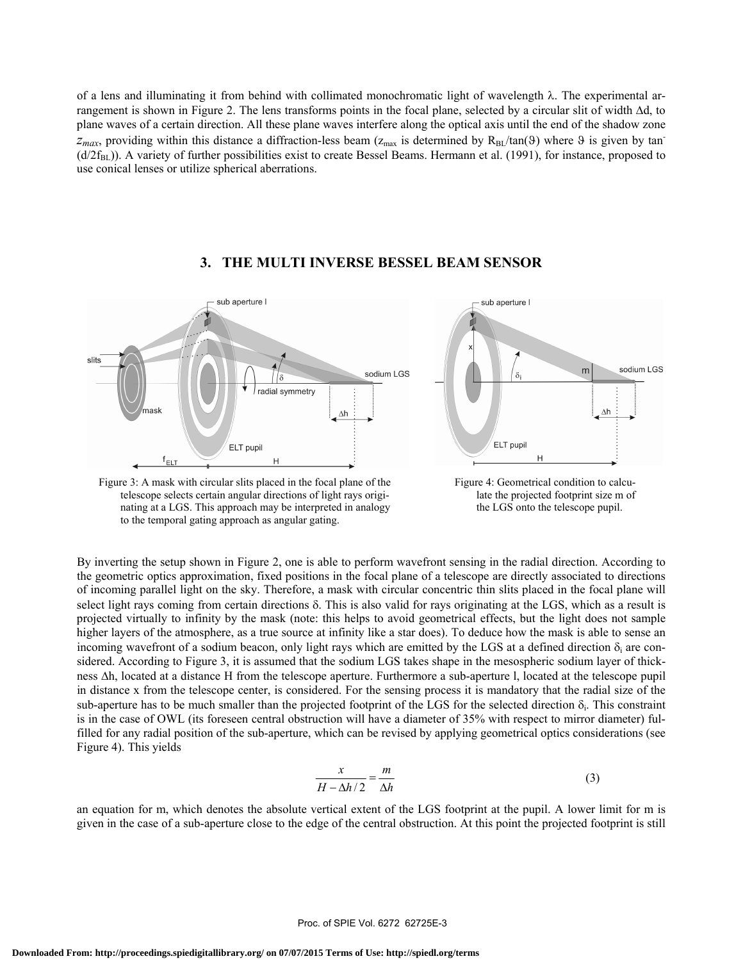of a lens and illuminating it from behind with collimated monochromatic light of wavelength λ. The experimental arrangement is shown in Figure 2. The lens transforms points in the focal plane, selected by a circular slit of width ∆d, to plane waves of a certain direction. All these plane waves interfere along the optical axis until the end of the shadow zone  $z_{max}$ , providing within this distance a diffraction-less beam ( $z_{max}$  is determined by  $R_{BL}/\tan(9)$ ) where 9 is given by tan<sup>-</sup>  $(d/2f_{BL})$ ). A variety of further possibilities exist to create Bessel Beams. Hermann et al. (1991), for instance, proposed to use conical lenses or utilize spherical aberrations.

# **3. THE MULTI INVERSE BESSEL BEAM SENSOR**



telescope selects certain angular directions of light rays originating at a LGS. This approach may be interpreted in analogy to the temporal gating approach as angular gating.



By inverting the setup shown in Figure 2, one is able to perform wavefront sensing in the radial direction. According to the geometric optics approximation, fixed positions in the focal plane of a telescope are directly associated to directions of incoming parallel light on the sky. Therefore, a mask with circular concentric thin slits placed in the focal plane will select light rays coming from certain directions δ. This is also valid for rays originating at the LGS, which as a result is projected virtually to infinity by the mask (note: this helps to avoid geometrical effects, but the light does not sample higher layers of the atmosphere, as a true source at infinity like a star does). To deduce how the mask is able to sense an incoming wavefront of a sodium beacon, only light rays which are emitted by the LGS at a defined direction  $\delta_i$  are considered. According to Figure 3, it is assumed that the sodium LGS takes shape in the mesospheric sodium layer of thickness ∆h, located at a distance H from the telescope aperture. Furthermore a sub-aperture l, located at the telescope pupil in distance x from the telescope center, is considered. For the sensing process it is mandatory that the radial size of the sub-aperture has to be much smaller than the projected footprint of the LGS for the selected direction  $\delta_i$ . This constraint is in the case of OWL (its foreseen central obstruction will have a diameter of 35% with respect to mirror diameter) fulfilled for any radial position of the sub-aperture, which can be revised by applying geometrical optics considerations (see Figure 4). This yields

$$
\frac{x}{H - \Delta h/2} = \frac{m}{\Delta h}
$$
 (3)

an equation for m, which denotes the absolute vertical extent of the LGS footprint at the pupil. A lower limit for m is given in the case of a sub-aperture close to the edge of the central obstruction. At this point the projected footprint is still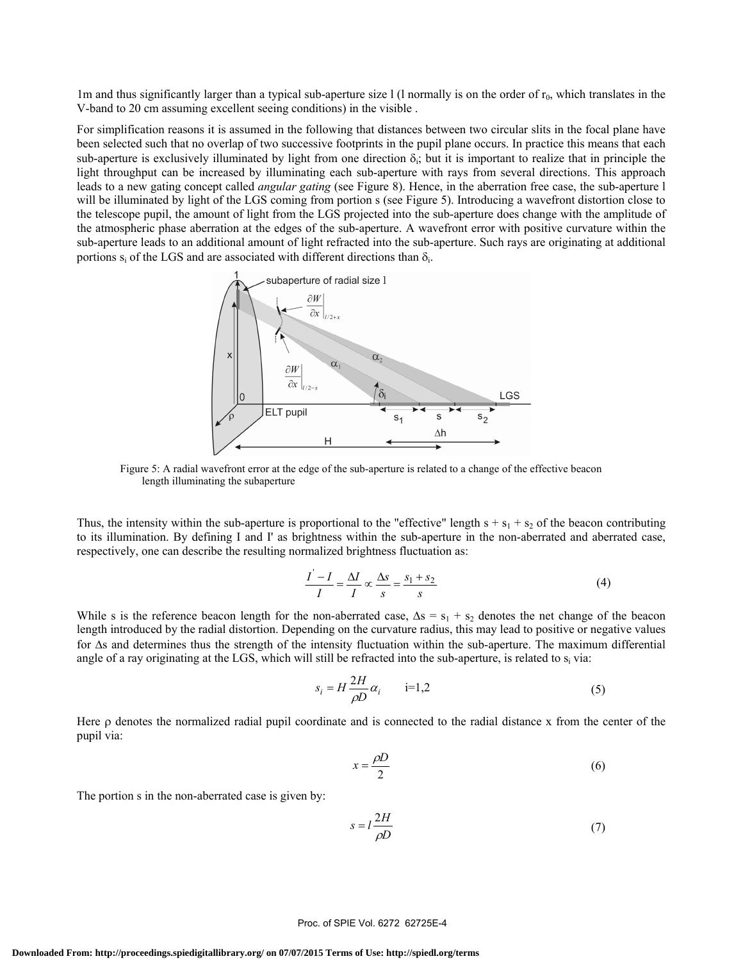1m and thus significantly larger than a typical sub-aperture size 1 (1 normally is on the order of  $r_0$ , which translates in the V-band to 20 cm assuming excellent seeing conditions) in the visible .

For simplification reasons it is assumed in the following that distances between two circular slits in the focal plane have been selected such that no overlap of two successive footprints in the pupil plane occurs. In practice this means that each sub-aperture is exclusively illuminated by light from one direction  $\delta_i$ ; but it is important to realize that in principle the light throughput can be increased by illuminating each sub-aperture with rays from several directions. This approach leads to a new gating concept called *angular gating* (see Figure 8). Hence, in the aberration free case, the sub-aperture l will be illuminated by light of the LGS coming from portion s (see Figure 5). Introducing a wavefront distortion close to the telescope pupil, the amount of light from the LGS projected into the sub-aperture does change with the amplitude of the atmospheric phase aberration at the edges of the sub-aperture. A wavefront error with positive curvature within the sub-aperture leads to an additional amount of light refracted into the sub-aperture. Such rays are originating at additional portions  $s_i$  of the LGS and are associated with different directions than  $\delta_i$ .



Figure 5: A radial wavefront error at the edge of the sub-aperture is related to a change of the effective beacon length illuminating the subaperture

Thus, the intensity within the sub-aperture is proportional to the "effective" length  $s + s_1 + s_2$  of the beacon contributing to its illumination. By defining I and I' as brightness within the sub-aperture in the non-aberrated and aberrated case, respectively, one can describe the resulting normalized brightness fluctuation as:

$$
\frac{I'-I}{I} = \frac{\Delta I}{I} \propto \frac{\Delta s}{s} = \frac{s_1 + s_2}{s}
$$
(4)

While s is the reference beacon length for the non-aberrated case,  $\Delta s = s_1 + s_2$  denotes the net change of the beacon length introduced by the radial distortion. Depending on the curvature radius, this may lead to positive or negative values for ∆s and determines thus the strength of the intensity fluctuation within the sub-aperture. The maximum differential angle of a ray originating at the LGS, which will still be refracted into the sub-aperture, is related to  $s_i$  via:

$$
s_i = H \frac{2H}{\rho D} \alpha_i \qquad i=1,2
$$
 (5)

Here ρ denotes the normalized radial pupil coordinate and is connected to the radial distance x from the center of the pupil via:

$$
x = \frac{\rho D}{2} \tag{6}
$$

The portion s in the non-aberrated case is given by:

$$
s = l \frac{2H}{\rho D} \tag{7}
$$

#### Proc. of SPIE Vol. 6272 62725E-4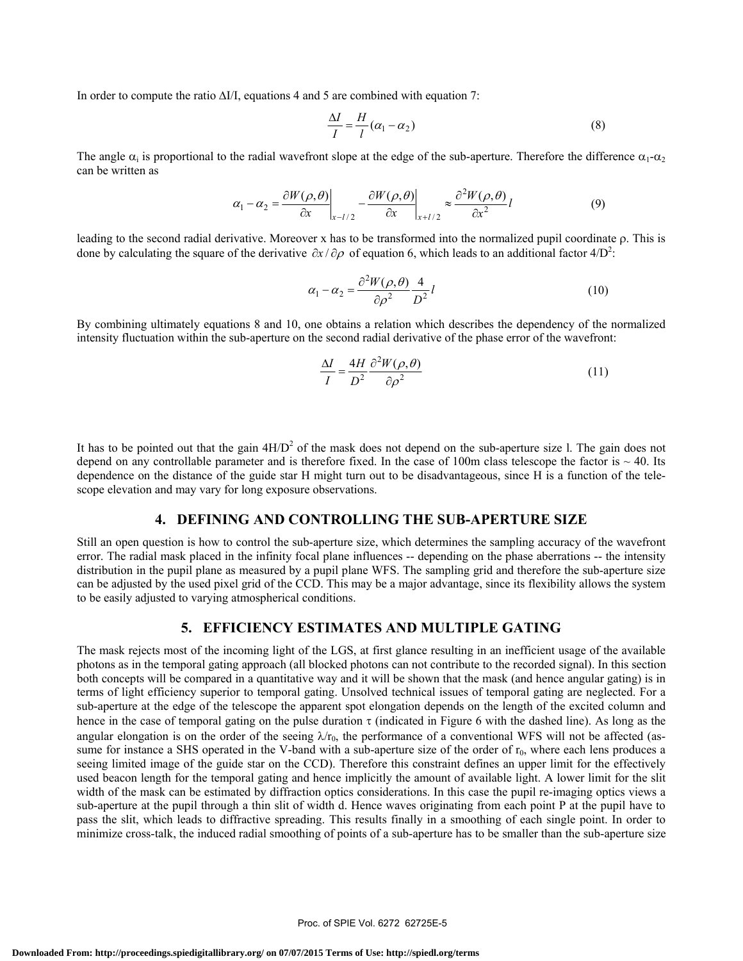In order to compute the ratio ∆I/I, equations 4 and 5 are combined with equation 7:

$$
\frac{\Delta I}{I} = \frac{H}{l} (\alpha_1 - \alpha_2) \tag{8}
$$

The angle  $\alpha_i$  is proportional to the radial wavefront slope at the edge of the sub-aperture. Therefore the difference  $\alpha_1$ - $\alpha_2$ can be written as

$$
\alpha_1 - \alpha_2 = \frac{\partial W(\rho, \theta)}{\partial x}\bigg|_{x=l/2} - \frac{\partial W(\rho, \theta)}{\partial x}\bigg|_{x=l/2} \approx \frac{\partial^2 W(\rho, \theta)}{\partial x^2}l \tag{9}
$$

leading to the second radial derivative. Moreover x has to be transformed into the normalized pupil coordinate ρ. This is done by calculating the square of the derivative  $\partial x / \partial \rho$  of equation 6, which leads to an additional factor 4/D<sup>2</sup>:

$$
\alpha_1 - \alpha_2 = \frac{\partial^2 W(\rho, \theta)}{\partial \rho^2} \frac{4}{D^2} l \tag{10}
$$

By combining ultimately equations 8 and 10, one obtains a relation which describes the dependency of the normalized intensity fluctuation within the sub-aperture on the second radial derivative of the phase error of the wavefront:

$$
\frac{\Delta I}{I} = \frac{4H}{D^2} \frac{\partial^2 W(\rho, \theta)}{\partial \rho^2}
$$
 (11)

It has to be pointed out that the gain  $4H/D^2$  of the mask does not depend on the sub-aperture size l. The gain does not depend on any controllable parameter and is therefore fixed. In the case of 100m class telescope the factor is  $\sim$  40. Its dependence on the distance of the guide star H might turn out to be disadvantageous, since H is a function of the telescope elevation and may vary for long exposure observations.

# **4. DEFINING AND CONTROLLING THE SUB-APERTURE SIZE**

Still an open question is how to control the sub-aperture size, which determines the sampling accuracy of the wavefront error. The radial mask placed in the infinity focal plane influences -- depending on the phase aberrations -- the intensity distribution in the pupil plane as measured by a pupil plane WFS. The sampling grid and therefore the sub-aperture size can be adjusted by the used pixel grid of the CCD. This may be a major advantage, since its flexibility allows the system to be easily adjusted to varying atmospherical conditions.

# **5. EFFICIENCY ESTIMATES AND MULTIPLE GATING**

The mask rejects most of the incoming light of the LGS, at first glance resulting in an inefficient usage of the available photons as in the temporal gating approach (all blocked photons can not contribute to the recorded signal). In this section both concepts will be compared in a quantitative way and it will be shown that the mask (and hence angular gating) is in terms of light efficiency superior to temporal gating. Unsolved technical issues of temporal gating are neglected. For a sub-aperture at the edge of the telescope the apparent spot elongation depends on the length of the excited column and hence in the case of temporal gating on the pulse duration  $\tau$  (indicated in Figure 6 with the dashed line). As long as the angular elongation is on the order of the seeing  $\lambda/r_0$ , the performance of a conventional WFS will not be affected (assume for instance a SHS operated in the V-band with a sub-aperture size of the order of  $r_0$ , where each lens produces a seeing limited image of the guide star on the CCD). Therefore this constraint defines an upper limit for the effectively used beacon length for the temporal gating and hence implicitly the amount of available light. A lower limit for the slit width of the mask can be estimated by diffraction optics considerations. In this case the pupil re-imaging optics views a sub-aperture at the pupil through a thin slit of width d. Hence waves originating from each point P at the pupil have to pass the slit, which leads to diffractive spreading. This results finally in a smoothing of each single point. In order to minimize cross-talk, the induced radial smoothing of points of a sub-aperture has to be smaller than the sub-aperture size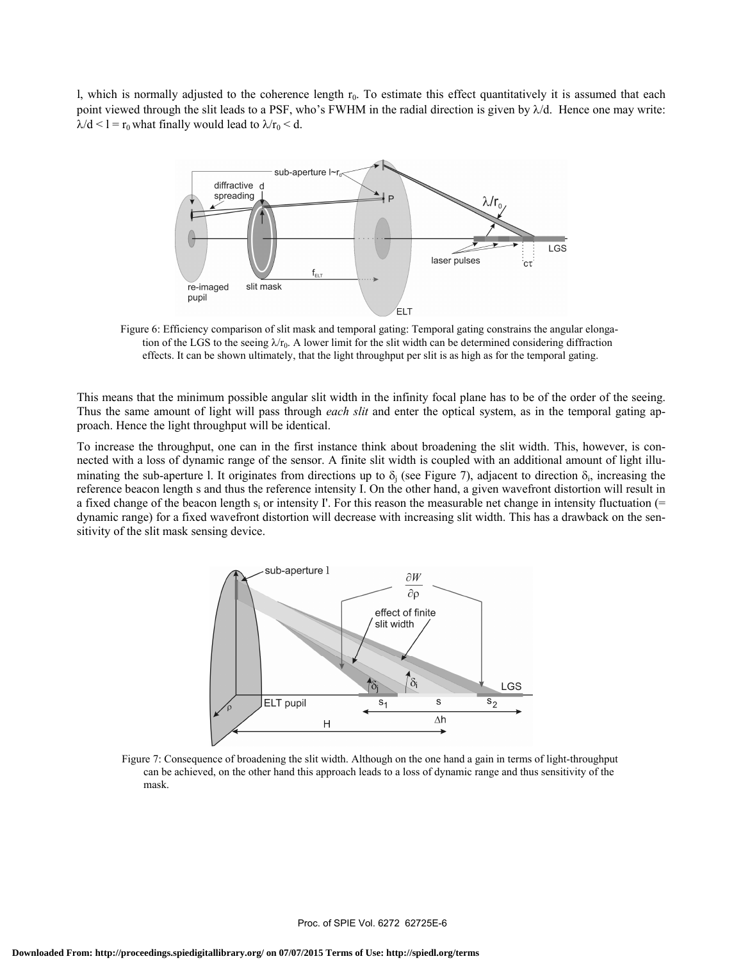l, which is normally adjusted to the coherence length  $r_0$ . To estimate this effect quantitatively it is assumed that each point viewed through the slit leads to a PSF, who's FWHM in the radial direction is given by  $\lambda/d$ . Hence one may write:  $\lambda$ /d < l = r<sub>0</sub> what finally would lead to  $\lambda$ /r<sub>0</sub> < d.



Figure 6: Efficiency comparison of slit mask and temporal gating: Temporal gating constrains the angular elongation of the LGS to the seeing  $\lambda/r_0$ . A lower limit for the slit width can be determined considering diffraction effects. It can be shown ultimately, that the light throughput per slit is as high as for the temporal gating.

This means that the minimum possible angular slit width in the infinity focal plane has to be of the order of the seeing. Thus the same amount of light will pass through *each slit* and enter the optical system, as in the temporal gating approach. Hence the light throughput will be identical.

To increase the throughput, one can in the first instance think about broadening the slit width. This, however, is connected with a loss of dynamic range of the sensor. A finite slit width is coupled with an additional amount of light illuminating the sub-aperture l. It originates from directions up to  $\delta_i$  (see Figure 7), adjacent to direction  $\delta_i$ , increasing the reference beacon length s and thus the reference intensity I. On the other hand, a given wavefront distortion will result in a fixed change of the beacon length  $s_i$  or intensity I'. For this reason the measurable net change in intensity fluctuation (= dynamic range) for a fixed wavefront distortion will decrease with increasing slit width. This has a drawback on the sensitivity of the slit mask sensing device.



Figure 7: Consequence of broadening the slit width. Although on the one hand a gain in terms of light-throughput can be achieved, on the other hand this approach leads to a loss of dynamic range and thus sensitivity of the mask.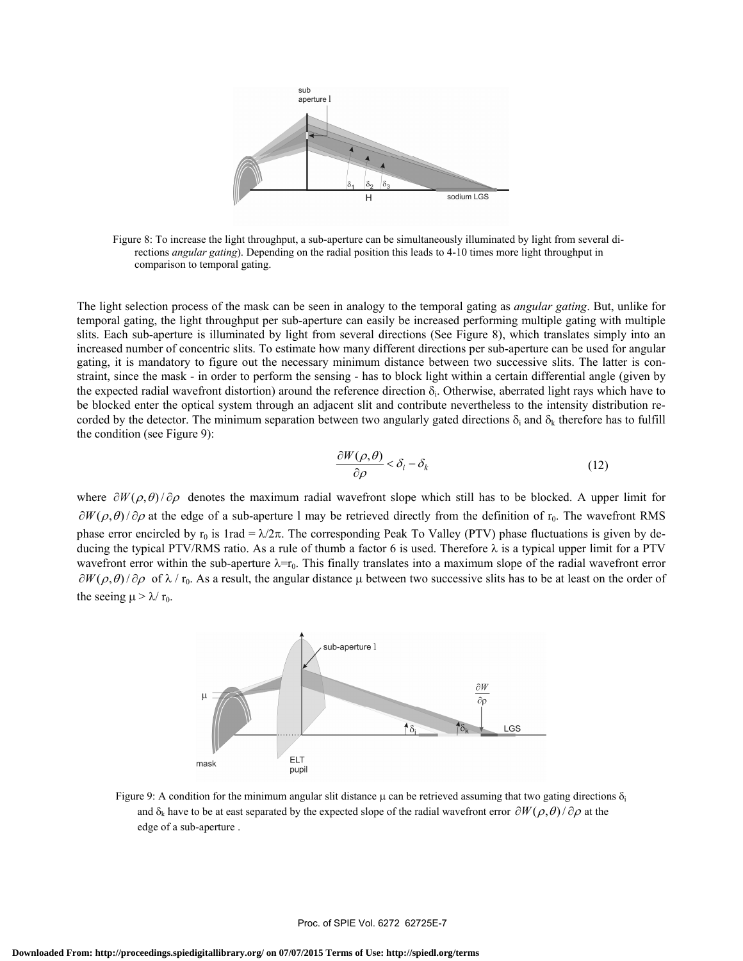

Figure 8: To increase the light throughput, a sub-aperture can be simultaneously illuminated by light from several directions *angular gating*). Depending on the radial position this leads to 4-10 times more light throughput in comparison to temporal gating.

The light selection process of the mask can be seen in analogy to the temporal gating as *angular gating*. But, unlike for temporal gating, the light throughput per sub-aperture can easily be increased performing multiple gating with multiple slits. Each sub-aperture is illuminated by light from several directions (See Figure 8), which translates simply into an increased number of concentric slits. To estimate how many different directions per sub-aperture can be used for angular gating, it is mandatory to figure out the necessary minimum distance between two successive slits. The latter is constraint, since the mask - in order to perform the sensing - has to block light within a certain differential angle (given by the expected radial wavefront distortion) around the reference direction  $\delta_i$ . Otherwise, aberrated light rays which have to be blocked enter the optical system through an adjacent slit and contribute nevertheless to the intensity distribution recorded by the detector. The minimum separation between two angularly gated directions  $\delta_i$  and  $\delta_k$  therefore has to fulfill the condition (see Figure 9):

$$
\frac{\partial W(\rho,\theta)}{\partial \rho} < \delta_i - \delta_k \tag{12}
$$

where  $\partial W(\rho,\theta)/\partial\rho$  denotes the maximum radial wavefront slope which still has to be blocked. A upper limit for  $\partial W(\rho,\theta)/\partial \rho$  at the edge of a sub-aperture l may be retrieved directly from the definition of r<sub>0</sub>. The wavefront RMS phase error encircled by  $r_0$  is 1rad =  $\lambda/2\pi$ . The corresponding Peak To Valley (PTV) phase fluctuations is given by deducing the typical PTV/RMS ratio. As a rule of thumb a factor 6 is used. Therefore  $\lambda$  is a typical upper limit for a PTV wavefront error within the sub-aperture  $\lambda = r_0$ . This finally translates into a maximum slope of the radial wavefront error  $\partial W(\rho,\theta)/\partial\rho$  of  $\lambda/\rm r_0$ . As a result, the angular distance  $\mu$  between two successive slits has to be at least on the order of the seeing  $\mu > \lambda / r_0$ .



Figure 9: A condition for the minimum angular slit distance  $\mu$  can be retrieved assuming that two gating directions  $\delta_i$ and  $\delta_k$  have to be at east separated by the expected slope of the radial wavefront error  $\partial W(\rho,\theta)/\partial \rho$  at the edge of a sub-aperture .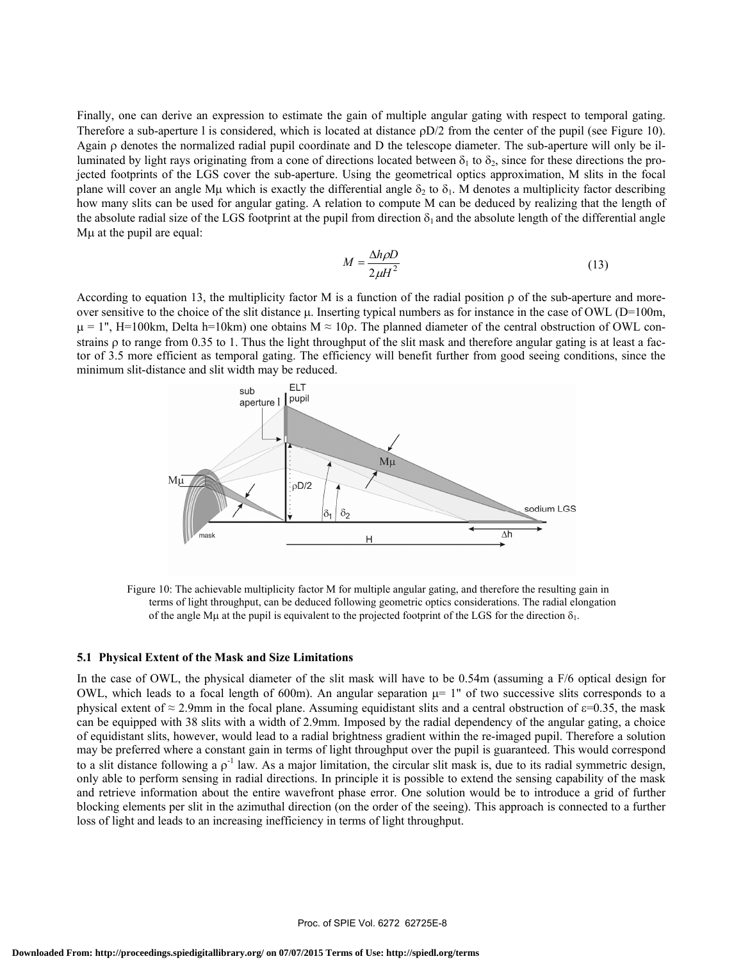Finally, one can derive an expression to estimate the gain of multiple angular gating with respect to temporal gating. Therefore a sub-aperture l is considered, which is located at distance ρD/2 from the center of the pupil (see Figure 10). Again ρ denotes the normalized radial pupil coordinate and D the telescope diameter. The sub-aperture will only be illuminated by light rays originating from a cone of directions located between  $\delta_1$  to  $\delta_2$ , since for these directions the projected footprints of the LGS cover the sub-aperture. Using the geometrical optics approximation, M slits in the focal plane will cover an angle Mµ which is exactly the differential angle  $\delta_2$  to  $\delta_1$ . M denotes a multiplicity factor describing how many slits can be used for angular gating. A relation to compute M can be deduced by realizing that the length of the absolute radial size of the LGS footprint at the pupil from direction  $\delta_1$  and the absolute length of the differential angle  $M\mu$  at the pupil are equal:

$$
M = \frac{\Delta h \rho D}{2\mu H^2} \tag{13}
$$

According to equation 13, the multiplicity factor M is a function of the radial position  $\rho$  of the sub-aperture and moreover sensitive to the choice of the slit distance  $\mu$ . Inserting typical numbers as for instance in the case of OWL (D=100m,  $\mu$  = 1", H=100km, Delta h=10km) one obtains M  $\approx$  10 $\rho$ . The planned diameter of the central obstruction of OWL constrains ρ to range from 0.35 to 1. Thus the light throughput of the slit mask and therefore angular gating is at least a factor of 3.5 more efficient as temporal gating. The efficiency will benefit further from good seeing conditions, since the minimum slit-distance and slit width may be reduced.



Figure 10: The achievable multiplicity factor M for multiple angular gating, and therefore the resulting gain in terms of light throughput, can be deduced following geometric optics considerations. The radial elongation of the angle M $\mu$  at the pupil is equivalent to the projected footprint of the LGS for the direction  $\delta_1$ .

#### **5.1 Physical Extent of the Mask and Size Limitations**

In the case of OWL, the physical diameter of the slit mask will have to be 0.54m (assuming a F/6 optical design for OWL, which leads to a focal length of 600m). An angular separation  $\mu$ = 1" of two successive slits corresponds to a physical extent of  $\approx$  2.9mm in the focal plane. Assuming equidistant slits and a central obstruction of  $\varepsilon$ =0.35, the mask can be equipped with 38 slits with a width of 2.9mm. Imposed by the radial dependency of the angular gating, a choice of equidistant slits, however, would lead to a radial brightness gradient within the re-imaged pupil. Therefore a solution may be preferred where a constant gain in terms of light throughput over the pupil is guaranteed. This would correspond to a slit distance following a  $\rho^{-1}$  law. As a major limitation, the circular slit mask is, due to its radial symmetric design, only able to perform sensing in radial directions. In principle it is possible to extend the sensing capability of the mask and retrieve information about the entire wavefront phase error. One solution would be to introduce a grid of further blocking elements per slit in the azimuthal direction (on the order of the seeing). This approach is connected to a further loss of light and leads to an increasing inefficiency in terms of light throughput.